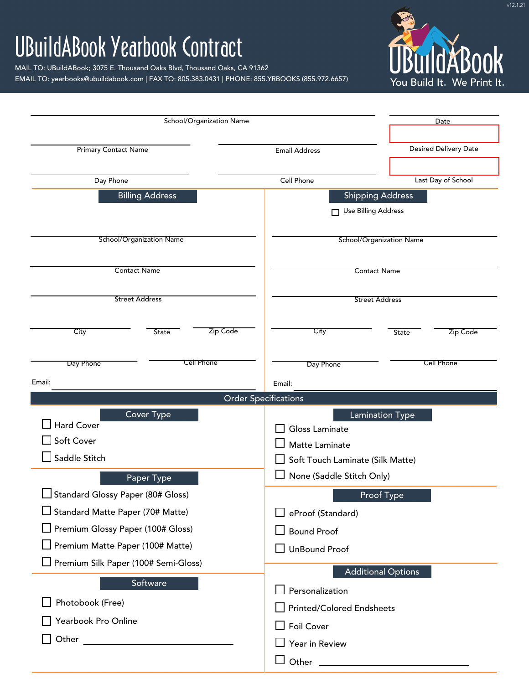## UBuildABook Yearbook Contract

MAIL TO: UBuildABook; 3075 E. Thousand Oaks Blvd, Thousand Oaks, CA 91362 EMAIL TO: yearbooks@ubuildabook.com | FAX TO: 805.383.0431 | PHONE: 855.YRBOOKS (855.972.6657)



| School/Organization Name             |                                                                                                                                                                                                                               |                             |                                  |                           | Date                         |  |  |  |  |
|--------------------------------------|-------------------------------------------------------------------------------------------------------------------------------------------------------------------------------------------------------------------------------|-----------------------------|----------------------------------|---------------------------|------------------------------|--|--|--|--|
| <b>Primary Contact Name</b>          |                                                                                                                                                                                                                               |                             | <b>Email Address</b>             |                           | <b>Desired Delivery Date</b> |  |  |  |  |
|                                      |                                                                                                                                                                                                                               |                             |                                  |                           |                              |  |  |  |  |
| Day Phone                            |                                                                                                                                                                                                                               |                             | Last Day of School<br>Cell Phone |                           |                              |  |  |  |  |
|                                      | <b>Billing Address</b>                                                                                                                                                                                                        |                             | <b>Shipping Address</b>          |                           |                              |  |  |  |  |
|                                      |                                                                                                                                                                                                                               |                             | <b>Use Billing Address</b>       |                           |                              |  |  |  |  |
|                                      | <b>School/Organization Name</b>                                                                                                                                                                                               |                             | <b>School/Organization Name</b>  |                           |                              |  |  |  |  |
|                                      | <b>Contact Name</b>                                                                                                                                                                                                           |                             | <b>Contact Name</b>              |                           |                              |  |  |  |  |
|                                      | <b>Street Address</b>                                                                                                                                                                                                         |                             | <b>Street Address</b>            |                           |                              |  |  |  |  |
|                                      |                                                                                                                                                                                                                               |                             |                                  |                           |                              |  |  |  |  |
| City                                 | <b>State</b>                                                                                                                                                                                                                  | Zip Code                    | City                             | State                     | Zip Code                     |  |  |  |  |
| Day Phone                            | <b>Cell Phone</b>                                                                                                                                                                                                             |                             | Day Phone                        |                           | Cell Phone                   |  |  |  |  |
| Email:                               |                                                                                                                                                                                                                               |                             | Email:                           |                           |                              |  |  |  |  |
|                                      |                                                                                                                                                                                                                               | <b>Order Specifications</b> |                                  |                           |                              |  |  |  |  |
| Hard Cover                           | <b>Cover Type</b>                                                                                                                                                                                                             |                             |                                  | <b>Lamination Type</b>    |                              |  |  |  |  |
| Soft Cover                           |                                                                                                                                                                                                                               |                             | Gloss Laminate<br>Matte Laminate |                           |                              |  |  |  |  |
| Saddle Stitch                        |                                                                                                                                                                                                                               |                             | Soft Touch Laminate (Silk Matte) |                           |                              |  |  |  |  |
|                                      | Paper Type                                                                                                                                                                                                                    |                             | None (Saddle Stitch Only)        |                           |                              |  |  |  |  |
| Standard Glossy Paper (80# Gloss)    |                                                                                                                                                                                                                               |                             |                                  | Proof Type                |                              |  |  |  |  |
| Standard Matte Paper (70# Matte)     |                                                                                                                                                                                                                               |                             | eProof (Standard)                |                           |                              |  |  |  |  |
| Premium Glossy Paper (100# Gloss)    |                                                                                                                                                                                                                               |                             | <b>Bound Proof</b>               |                           |                              |  |  |  |  |
| Premium Matte Paper (100# Matte)     |                                                                                                                                                                                                                               |                             | <b>UnBound Proof</b>             |                           |                              |  |  |  |  |
| Premium Silk Paper (100# Semi-Gloss) |                                                                                                                                                                                                                               |                             |                                  |                           |                              |  |  |  |  |
|                                      | Software                                                                                                                                                                                                                      |                             |                                  | <b>Additional Options</b> |                              |  |  |  |  |
| Photobook (Free)                     |                                                                                                                                                                                                                               |                             | Personalization                  |                           |                              |  |  |  |  |
| Yearbook Pro Online                  |                                                                                                                                                                                                                               |                             | Printed/Colored Endsheets        |                           |                              |  |  |  |  |
|                                      | Other and the contract of the contract of the contract of the contract of the contract of the contract of the contract of the contract of the contract of the contract of the contract of the contract of the contract of the |                             | $\Box$ Foil Cover                |                           |                              |  |  |  |  |
|                                      |                                                                                                                                                                                                                               |                             | Year in Review                   |                           |                              |  |  |  |  |
|                                      |                                                                                                                                                                                                                               |                             | Other                            |                           |                              |  |  |  |  |